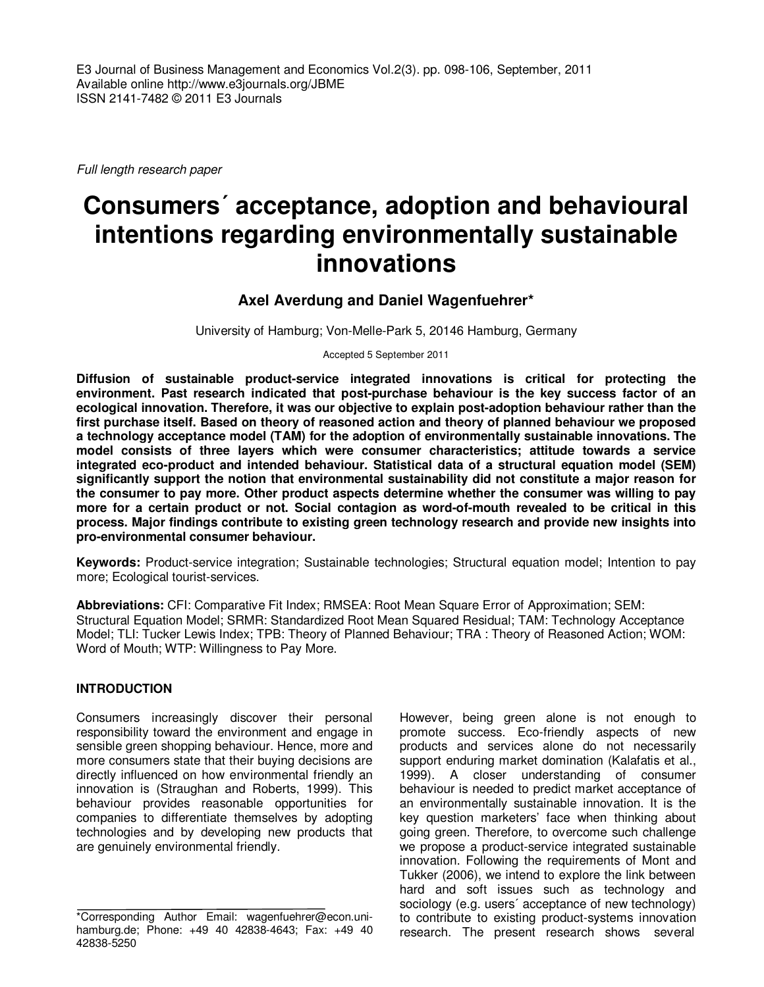E3 Journal of Business Management and Economics Vol.2(3). pp. 098-106, September, 2011 Available online http://www.e3journals.org/JBME ISSN 2141-7482 © 2011 E3 Journals

Full length research paper

# **Consumers´ acceptance, adoption and behavioural intentions regarding environmentally sustainable innovations**

# **Axel Averdung and Daniel Wagenfuehrer\***

University of Hamburg; Von-Melle-Park 5, 20146 Hamburg, Germany

Accepted 5 September 2011

**Diffusion of sustainable product-service integrated innovations is critical for protecting the environment. Past research indicated that post-purchase behaviour is the key success factor of an ecological innovation. Therefore, it was our objective to explain post-adoption behaviour rather than the first purchase itself. Based on theory of reasoned action and theory of planned behaviour we proposed a technology acceptance model (TAM) for the adoption of environmentally sustainable innovations. The model consists of three layers which were consumer characteristics; attitude towards a service integrated eco-product and intended behaviour. Statistical data of a structural equation model (SEM) significantly support the notion that environmental sustainability did not constitute a major reason for the consumer to pay more. Other product aspects determine whether the consumer was willing to pay more for a certain product or not. Social contagion as word-of-mouth revealed to be critical in this process. Major findings contribute to existing green technology research and provide new insights into pro-environmental consumer behaviour.** 

**Keywords:** Product-service integration; Sustainable technologies; Structural equation model; Intention to pay more; Ecological tourist-services.

**Abbreviations:** CFI: Comparative Fit Index; RMSEA: Root Mean Square Error of Approximation; SEM: Structural Equation Model; SRMR: Standardized Root Mean Squared Residual; TAM: Technology Acceptance Model; TLI: Tucker Lewis Index; TPB: Theory of Planned Behaviour; TRA : Theory of Reasoned Action; WOM: Word of Mouth; WTP: Willingness to Pay More.

#### **INTRODUCTION**

Consumers increasingly discover their personal responsibility toward the environment and engage in sensible green shopping behaviour. Hence, more and more consumers state that their buying decisions are directly influenced on how environmental friendly an innovation is (Straughan and Roberts, 1999). This behaviour provides reasonable opportunities for companies to differentiate themselves by adopting technologies and by developing new products that are genuinely environmental friendly.

However, being green alone is not enough to promote success. Eco-friendly aspects of new products and services alone do not necessarily support enduring market domination (Kalafatis et al., 1999). A closer understanding of consumer behaviour is needed to predict market acceptance of an environmentally sustainable innovation. It is the key question marketers' face when thinking about going green. Therefore, to overcome such challenge we propose a product-service integrated sustainable innovation. Following the requirements of Mont and Tukker (2006), we intend to explore the link between hard and soft issues such as technology and sociology (e.g. users' acceptance of new technology) to contribute to existing product-systems innovation research. The present research shows several

<sup>\*</sup>Corresponding Author Email: wagenfuehrer@econ.unihamburg.de; Phone: +49 40 42838-4643; Fax: +49 40 42838-5250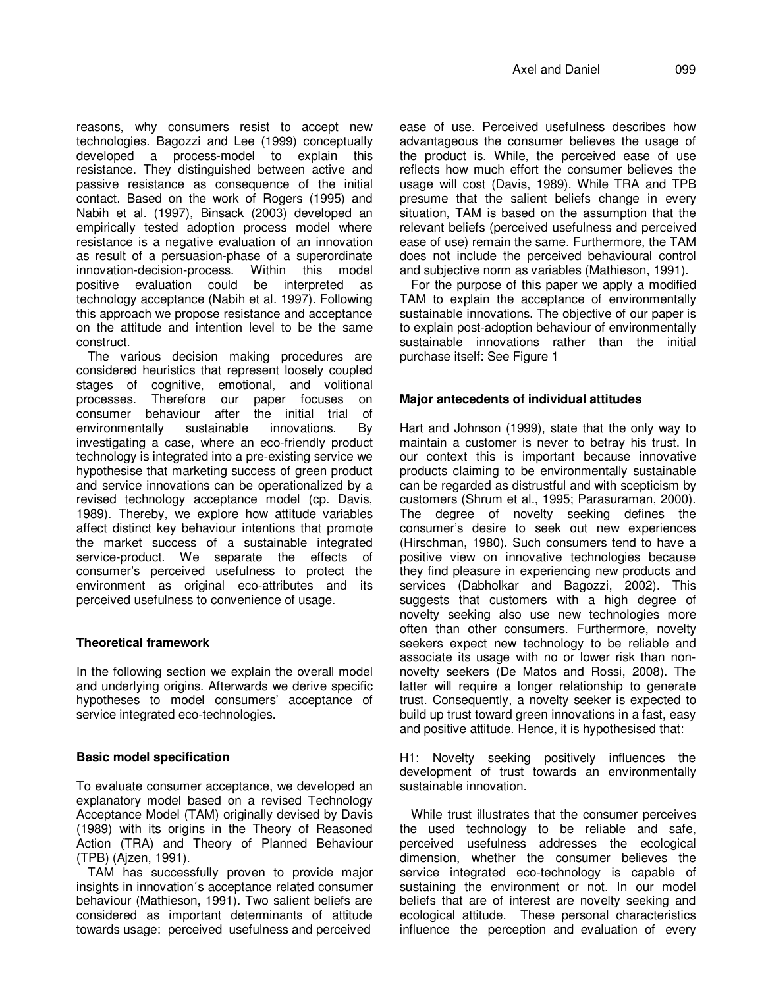reasons, why consumers resist to accept new technologies. Bagozzi and Lee (1999) conceptually developed a process-model to explain this resistance. They distinguished between active and passive resistance as consequence of the initial contact. Based on the work of Rogers (1995) and Nabih et al. (1997), Binsack (2003) developed an empirically tested adoption process model where resistance is a negative evaluation of an innovation as result of a persuasion-phase of a superordinate innovation-decision-process. Within this model positive evaluation could be interpreted as technology acceptance (Nabih et al. 1997). Following this approach we propose resistance and acceptance on the attitude and intention level to be the same construct.

The various decision making procedures are considered heuristics that represent loosely coupled stages of cognitive, emotional, and volitional processes. Therefore our paper focuses on consumer behaviour after the initial trial of environmentally sustainable innovations. By investigating a case, where an eco-friendly product technology is integrated into a pre-existing service we hypothesise that marketing success of green product and service innovations can be operationalized by a revised technology acceptance model (cp. Davis, 1989). Thereby, we explore how attitude variables affect distinct key behaviour intentions that promote the market success of a sustainable integrated service-product. We separate the effects of consumer's perceived usefulness to protect the environment as original eco-attributes and its perceived usefulness to convenience of usage.

#### **Theoretical framework**

In the following section we explain the overall model and underlying origins. Afterwards we derive specific hypotheses to model consumers' acceptance of service integrated eco-technologies.

# **Basic model specification**

To evaluate consumer acceptance, we developed an explanatory model based on a revised Technology Acceptance Model (TAM) originally devised by Davis (1989) with its origins in the Theory of Reasoned Action (TRA) and Theory of Planned Behaviour (TPB) (Ajzen, 1991).

TAM has successfully proven to provide major insights in innovation´s acceptance related consumer behaviour (Mathieson, 1991). Two salient beliefs are considered as important determinants of attitude towards usage: perceived usefulness and perceived ease of use. Perceived usefulness describes how advantageous the consumer believes the usage of the product is. While, the perceived ease of use reflects how much effort the consumer believes the usage will cost (Davis, 1989). While TRA and TPB presume that the salient beliefs change in every situation, TAM is based on the assumption that the relevant beliefs (perceived usefulness and perceived ease of use) remain the same. Furthermore, the TAM does not include the perceived behavioural control and subjective norm as variables (Mathieson, 1991).

For the purpose of this paper we apply a modified TAM to explain the acceptance of environmentally sustainable innovations. The objective of our paper is to explain post-adoption behaviour of environmentally sustainable innovations rather than the initial purchase itself: See Figure 1

#### **Major antecedents of individual attitudes**

Hart and Johnson (1999), state that the only way to maintain a customer is never to betray his trust. In our context this is important because innovative products claiming to be environmentally sustainable can be regarded as distrustful and with scepticism by customers (Shrum et al., 1995; Parasuraman, 2000). The degree of novelty seeking defines the consumer's desire to seek out new experiences (Hirschman, 1980). Such consumers tend to have a positive view on innovative technologies because they find pleasure in experiencing new products and services (Dabholkar and Bagozzi, 2002). This suggests that customers with a high degree of novelty seeking also use new technologies more often than other consumers. Furthermore, novelty seekers expect new technology to be reliable and associate its usage with no or lower risk than nonnovelty seekers (De Matos and Rossi, 2008). The latter will require a longer relationship to generate trust. Consequently, a novelty seeker is expected to build up trust toward green innovations in a fast, easy and positive attitude. Hence, it is hypothesised that:

H1: Novelty seeking positively influences the development of trust towards an environmentally sustainable innovation.

While trust illustrates that the consumer perceives the used technology to be reliable and safe, perceived usefulness addresses the ecological dimension, whether the consumer believes the service integrated eco-technology is capable of sustaining the environment or not. In our model beliefs that are of interest are novelty seeking and ecological attitude. These personal characteristics influence the perception and evaluation of every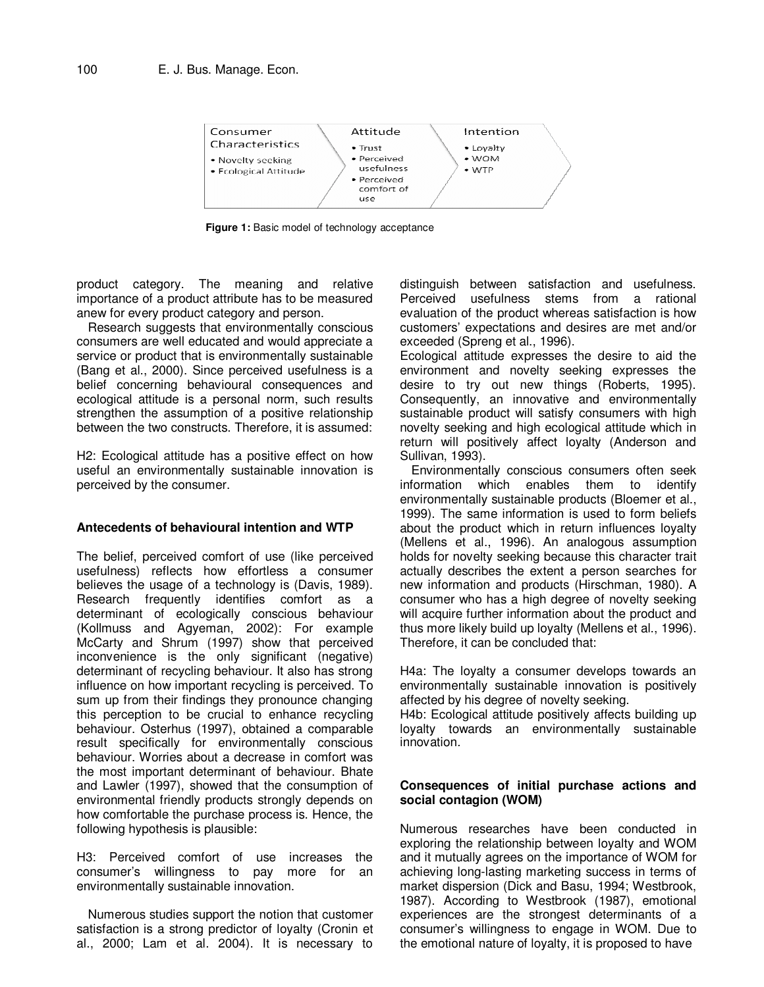

**Figure 1:** Basic model of technology acceptance

product category. The meaning and relative importance of a product attribute has to be measured anew for every product category and person.

Research suggests that environmentally conscious consumers are well educated and would appreciate a service or product that is environmentally sustainable (Bang et al., 2000). Since perceived usefulness is a belief concerning behavioural consequences and ecological attitude is a personal norm, such results strengthen the assumption of a positive relationship between the two constructs. Therefore, it is assumed:

H2: Ecological attitude has a positive effect on how useful an environmentally sustainable innovation is perceived by the consumer.

#### **Antecedents of behavioural intention and WTP**

The belief, perceived comfort of use (like perceived usefulness) reflects how effortless a consumer believes the usage of a technology is (Davis, 1989). Research frequently identifies comfort as a determinant of ecologically conscious behaviour (Kollmuss and Agyeman, 2002): For example McCarty and Shrum (1997) show that perceived inconvenience is the only significant (negative) determinant of recycling behaviour. It also has strong influence on how important recycling is perceived. To sum up from their findings they pronounce changing this perception to be crucial to enhance recycling behaviour. Osterhus (1997), obtained a comparable result specifically for environmentally conscious behaviour. Worries about a decrease in comfort was the most important determinant of behaviour. Bhate and Lawler (1997), showed that the consumption of environmental friendly products strongly depends on how comfortable the purchase process is. Hence, the following hypothesis is plausible:

H3: Perceived comfort of use increases the consumer's willingness to pay more for an environmentally sustainable innovation.

Numerous studies support the notion that customer satisfaction is a strong predictor of loyalty (Cronin et al., 2000; Lam et al. 2004). It is necessary to

distinguish between satisfaction and usefulness. Perceived usefulness stems from a rational evaluation of the product whereas satisfaction is how customers' expectations and desires are met and/or exceeded (Spreng et al., 1996).

Ecological attitude expresses the desire to aid the environment and novelty seeking expresses the desire to try out new things (Roberts, 1995). Consequently, an innovative and environmentally sustainable product will satisfy consumers with high novelty seeking and high ecological attitude which in return will positively affect loyalty (Anderson and Sullivan, 1993).

Environmentally conscious consumers often seek information which enables them to identify environmentally sustainable products (Bloemer et al., 1999). The same information is used to form beliefs about the product which in return influences loyalty (Mellens et al., 1996). An analogous assumption holds for novelty seeking because this character trait actually describes the extent a person searches for new information and products (Hirschman, 1980). A consumer who has a high degree of novelty seeking will acquire further information about the product and thus more likely build up loyalty (Mellens et al., 1996). Therefore, it can be concluded that:

H4a: The loyalty a consumer develops towards an environmentally sustainable innovation is positively affected by his degree of novelty seeking.

H4b: Ecological attitude positively affects building up loyalty towards an environmentally sustainable innovation.

#### **Consequences of initial purchase actions and social contagion (WOM)**

Numerous researches have been conducted in exploring the relationship between loyalty and WOM and it mutually agrees on the importance of WOM for achieving long-lasting marketing success in terms of market dispersion (Dick and Basu, 1994; Westbrook, 1987). According to Westbrook (1987), emotional experiences are the strongest determinants of a consumer's willingness to engage in WOM. Due to the emotional nature of loyalty, it is proposed to have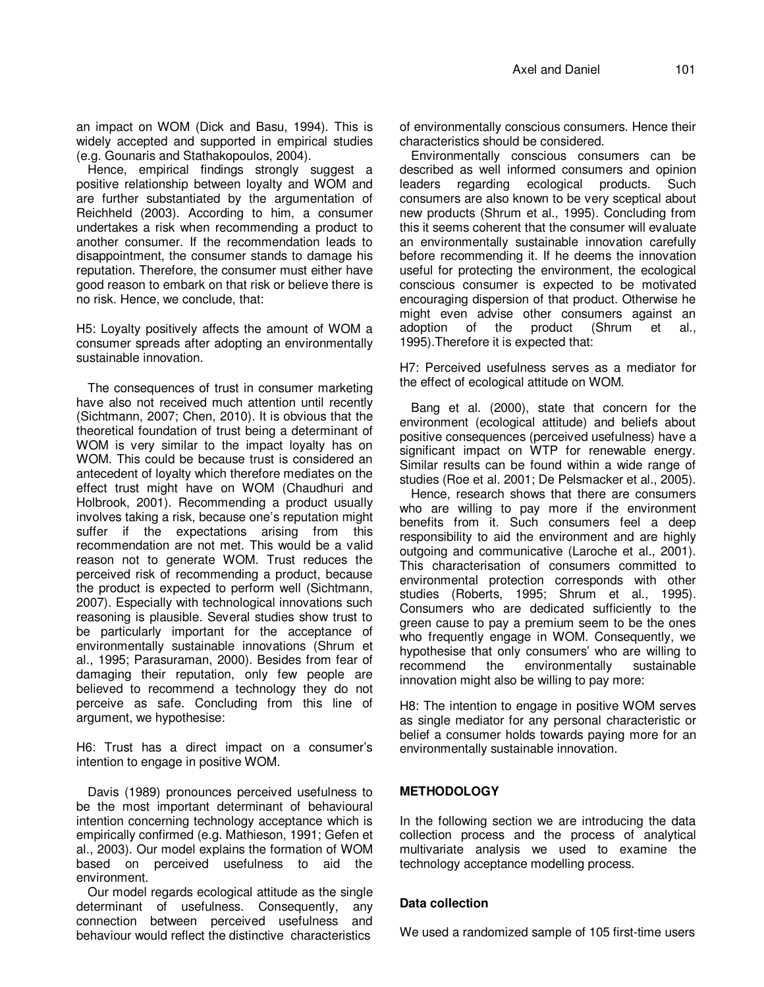an impact on WOM (Dick and Basu, 1994). This is widely accepted and supported in empirical studies (e.g. Gounaris and Stathakopoulos, 2004).

Hence, empirical findings strongly suggest a positive relationship between loyalty and WOM and are further substantiated by the argumentation of Reichheld (2003). According to him, a consumer undertakes a risk when recommending a product to another consumer. If the recommendation leads to disappointment, the consumer stands to damage his reputation. Therefore, the consumer must either have good reason to embark on that risk or believe there is no risk. Hence, we conclude, that:

H5: Loyalty positively affects the amount of WOM a consumer spreads after adopting an environmentally sustainable innovation.

The consequences of trust in consumer marketing have also not received much attention until recently (Sichtmann, 2007; Chen, 2010). It is obvious that the theoretical foundation of trust being a determinant of WOM is very similar to the impact loyalty has on WOM. This could be because trust is considered an antecedent of loyalty which therefore mediates on the effect trust might have on WOM (Chaudhuri and Holbrook, 2001). Recommending a product usually involves taking a risk, because one's reputation might suffer if the expectations arising from this recommendation are not met. This would be a valid reason not to generate WOM. Trust reduces the perceived risk of recommending a product, because the product is expected to perform well (Sichtmann, 2007). Especially with technological innovations such reasoning is plausible. Several studies show trust to be particularly important for the acceptance of environmentally sustainable innovations (Shrum et al., 1995; Parasuraman, 2000). Besides from fear of damaging their reputation, only few people are believed to recommend a technology they do not perceive as safe. Concluding from this line of argument, we hypothesise:

H6: Trust has a direct impact on a consumer's intention to engage in positive WOM.

Davis (1989) pronounces perceived usefulness to be the most important determinant of behavioural intention concerning technology acceptance which is empirically confirmed (e.g. Mathieson, 1991; Gefen et al., 2003). Our model explains the formation of WOM based on perceived usefulness to aid the environment.

Our model regards ecological attitude as the single determinant of usefulness. Consequently, any connection between perceived usefulness and behaviour would reflect the distinctive characteristics

of environmentally conscious consumers. Hence their characteristics should be considered.

Environmentally conscious consumers can be described as well informed consumers and opinion leaders regarding ecological products. Such consumers are also known to be very sceptical about new products (Shrum et al., 1995). Concluding from this it seems coherent that the consumer will evaluate an environmentally sustainable innovation carefully before recommending it. If he deems the innovation useful for protecting the environment, the ecological conscious consumer is expected to be motivated encouraging dispersion of that product. Otherwise he might even advise other consumers against an adoption of the product (Shrum et al., 1995).Therefore it is expected that:

H7: Perceived usefulness serves as a mediator for the effect of ecological attitude on WOM.

Bang et al. (2000), state that concern for the environment (ecological attitude) and beliefs about positive consequences (perceived usefulness) have a significant impact on WTP for renewable energy. Similar results can be found within a wide range of studies (Roe et al. 2001; De Pelsmacker et al., 2005).

Hence, research shows that there are consumers who are willing to pay more if the environment benefits from it. Such consumers feel a deep responsibility to aid the environment and are highly outgoing and communicative (Laroche et al., 2001). This characterisation of consumers committed to environmental protection corresponds with other studies (Roberts, 1995; Shrum et al., 1995). Consumers who are dedicated sufficiently to the green cause to pay a premium seem to be the ones who frequently engage in WOM. Consequently, we hypothesise that only consumers' who are willing to recommend the environmentally sustainable innovation might also be willing to pay more:

H8: The intention to engage in positive WOM serves as single mediator for any personal characteristic or belief a consumer holds towards paying more for an environmentally sustainable innovation.

#### **METHODOLOGY**

In the following section we are introducing the data collection process and the process of analytical multivariate analysis we used to examine the technology acceptance modelling process.

#### **Data collection**

We used a randomized sample of 105 first-time users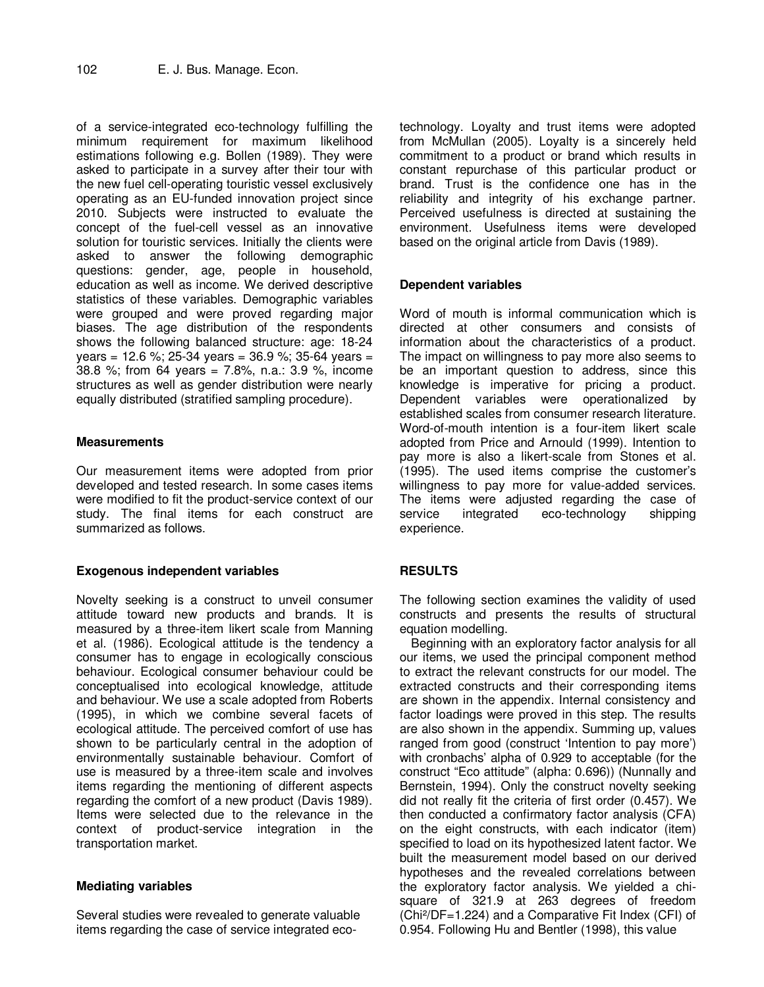of a service-integrated eco-technology fulfilling the minimum requirement for maximum likelihood estimations following e.g. Bollen (1989). They were asked to participate in a survey after their tour with the new fuel cell-operating touristic vessel exclusively operating as an EU-funded innovation project since 2010. Subjects were instructed to evaluate the concept of the fuel-cell vessel as an innovative solution for touristic services. Initially the clients were asked to answer the following demographic questions: gender, age, people in household, education as well as income. We derived descriptive statistics of these variables. Demographic variables were grouped and were proved regarding major biases. The age distribution of the respondents shows the following balanced structure: age: 18-24 years = 12.6 %; 25-34 years = 36.9 %; 35-64 years = 38.8 %; from 64 years = 7.8%, n.a.: 3.9 %, income structures as well as gender distribution were nearly equally distributed (stratified sampling procedure).

#### **Measurements**

Our measurement items were adopted from prior developed and tested research. In some cases items were modified to fit the product-service context of our study. The final items for each construct are summarized as follows.

#### **Exogenous independent variables**

Novelty seeking is a construct to unveil consumer attitude toward new products and brands. It is measured by a three-item likert scale from Manning et al. (1986). Ecological attitude is the tendency a consumer has to engage in ecologically conscious behaviour. Ecological consumer behaviour could be conceptualised into ecological knowledge, attitude and behaviour. We use a scale adopted from Roberts (1995), in which we combine several facets of ecological attitude. The perceived comfort of use has shown to be particularly central in the adoption of environmentally sustainable behaviour. Comfort of use is measured by a three-item scale and involves items regarding the mentioning of different aspects regarding the comfort of a new product (Davis 1989). Items were selected due to the relevance in the context of product-service integration in the transportation market.

#### **Mediating variables**

Several studies were revealed to generate valuable items regarding the case of service integrated ecotechnology. Loyalty and trust items were adopted from McMullan (2005). Loyalty is a sincerely held commitment to a product or brand which results in constant repurchase of this particular product or brand. Trust is the confidence one has in the reliability and integrity of his exchange partner. Perceived usefulness is directed at sustaining the environment. Usefulness items were developed based on the original article from Davis (1989).

# **Dependent variables**

Word of mouth is informal communication which is directed at other consumers and consists of information about the characteristics of a product. The impact on willingness to pay more also seems to be an important question to address, since this knowledge is imperative for pricing a product. Dependent variables were operationalized by established scales from consumer research literature. Word-of-mouth intention is a four-item likert scale adopted from Price and Arnould (1999). Intention to pay more is also a likert-scale from Stones et al. (1995). The used items comprise the customer's willingness to pay more for value-added services. The items were adjusted regarding the case of service integrated eco-technology shipping experience.

# **RESULTS**

The following section examines the validity of used constructs and presents the results of structural equation modelling.

Beginning with an exploratory factor analysis for all our items, we used the principal component method to extract the relevant constructs for our model. The extracted constructs and their corresponding items are shown in the appendix. Internal consistency and factor loadings were proved in this step. The results are also shown in the appendix. Summing up, values ranged from good (construct 'Intention to pay more') with cronbachs' alpha of 0.929 to acceptable (for the construct "Eco attitude" (alpha: 0.696)) (Nunnally and Bernstein, 1994). Only the construct novelty seeking did not really fit the criteria of first order (0.457). We then conducted a confirmatory factor analysis (CFA) on the eight constructs, with each indicator (item) specified to load on its hypothesized latent factor. We built the measurement model based on our derived hypotheses and the revealed correlations between the exploratory factor analysis. We yielded a chisquare of 321.9 at 263 degrees of freedom (Chi²/DF=1.224) and a Comparative Fit Index (CFI) of 0.954. Following Hu and Bentler (1998), this value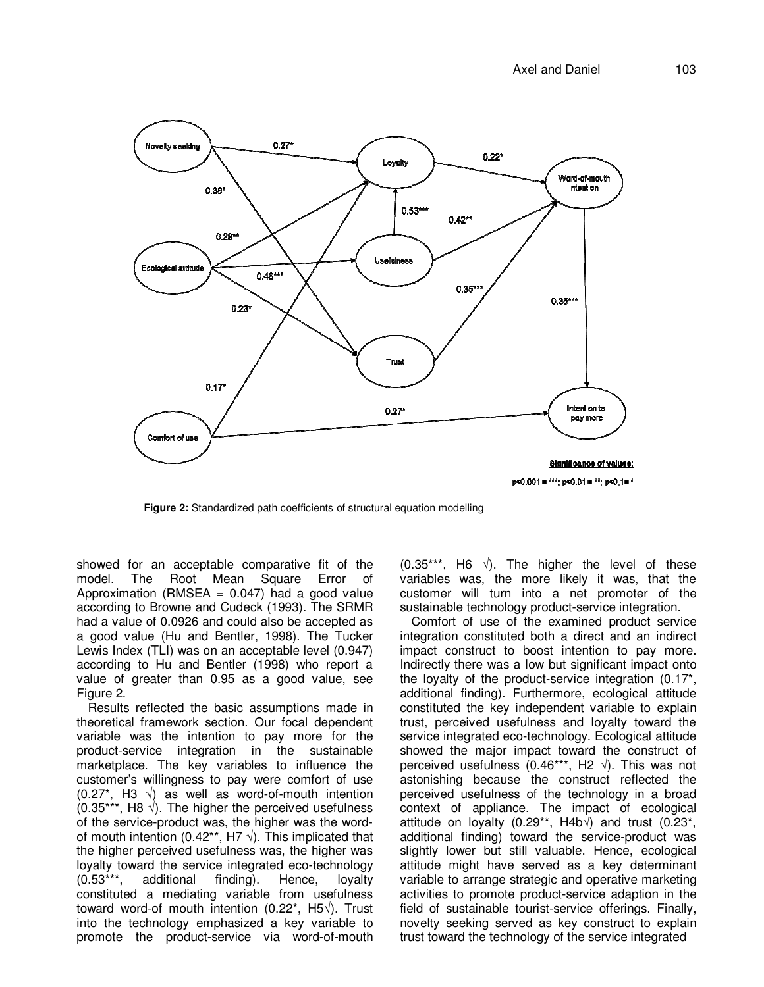

**Figure 2:** Standardized path coefficients of structural equation modelling

showed for an acceptable comparative fit of the model. The Root Mean Square Error of Approximation (RMSEA  $= 0.047$ ) had a good value according to Browne and Cudeck (1993). The SRMR had a value of 0.0926 and could also be accepted as a good value (Hu and Bentler, 1998). The Tucker Lewis Index (TLI) was on an acceptable level (0.947) according to Hu and Bentler (1998) who report a value of greater than 0.95 as a good value, see Figure 2.

Results reflected the basic assumptions made in theoretical framework section. Our focal dependent variable was the intention to pay more for the product-service integration in the sustainable marketplace. The key variables to influence the customer's willingness to pay were comfort of use (0.27\*, H3 √) as well as word-of-mouth intention (0.35\*\*\*, H8 √). The higher the perceived usefulness of the service-product was, the higher was the wordof mouth intention (0.42\*\*, H7  $\sqrt{ }$ ). This implicated that the higher perceived usefulness was, the higher was loyalty toward the service integrated eco-technology (0.53\*\*\*, additional finding). Hence, loyalty constituted a mediating variable from usefulness toward word-of mouth intention (0.22\*, H5√). Trust into the technology emphasized a key variable to promote the product-service via word-of-mouth  $(0.35***, H6 \sqrt{)}$ . The higher the level of these variables was, the more likely it was, that the customer will turn into a net promoter of the sustainable technology product-service integration.

Comfort of use of the examined product service integration constituted both a direct and an indirect impact construct to boost intention to pay more. Indirectly there was a low but significant impact onto the loyalty of the product-service integration (0.17\*, additional finding). Furthermore, ecological attitude constituted the key independent variable to explain trust, perceived usefulness and loyalty toward the service integrated eco-technology. Ecological attitude showed the major impact toward the construct of perceived usefulness (0.46\*\*\*, H2  $\sqrt{ }$ ). This was not astonishing because the construct reflected the perceived usefulness of the technology in a broad context of appliance. The impact of ecological attitude on loyalty (0.29\*\*, H4b $\sqrt{}$ ) and trust (0.23\*, additional finding) toward the service-product was slightly lower but still valuable. Hence, ecological attitude might have served as a key determinant variable to arrange strategic and operative marketing activities to promote product-service adaption in the field of sustainable tourist-service offerings. Finally, novelty seeking served as key construct to explain trust toward the technology of the service integrated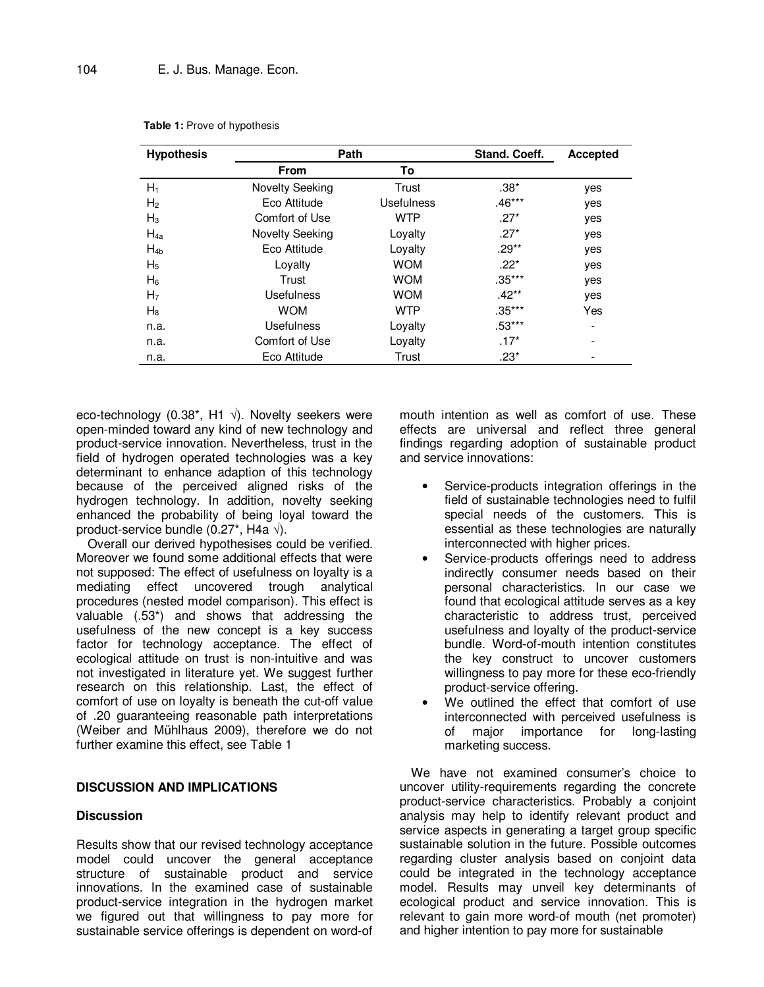| <b>Hypothesis</b> | Path                   |                   | Stand. Coeff. | <b>Accepted</b> |
|-------------------|------------------------|-------------------|---------------|-----------------|
|                   | <b>From</b>            | To                |               |                 |
| $H_1$             | <b>Novelty Seeking</b> | Trust             | $.38*$        | yes             |
| H <sub>2</sub>    | Eco Attitude           | <b>Usefulness</b> | $.46***$      | yes             |
| $H_3$             | Comfort of Use         | <b>WTP</b>        | $.27*$        | yes             |
| $H_{4a}$          | <b>Novelty Seeking</b> | Loyalty           | $.27*$        | yes             |
| $H_{4b}$          | Eco Attitude           | Loyalty           | $.29**$       | yes             |
| $H_5$             | Loyalty                | <b>WOM</b>        | $.22*$        | yes             |
| $H_6$             | Trust                  | <b>WOM</b>        | $.35***$      | yes             |
| H <sub>7</sub>    | Usefulness             | <b>WOM</b>        | $.42**$       | yes             |
| $H_8$             | <b>WOM</b>             | <b>WTP</b>        | $.35***$      | Yes             |
| n.a.              | Usefulness             | Loyalty           | $.53***$      |                 |
| n.a.              | Comfort of Use         | Loyalty           | $.17*$        |                 |
| n.a.              | Eco Attitude           | Trust             | $.23*$        |                 |
|                   |                        |                   |               |                 |

**Table 1:** Prove of hypothesis

eco-technology (0.38\*, H1  $\sqrt{ }$ ). Novelty seekers were open-minded toward any kind of new technology and product-service innovation. Nevertheless, trust in the field of hydrogen operated technologies was a key determinant to enhance adaption of this technology because of the perceived aligned risks of the hydrogen technology. In addition, novelty seeking enhanced the probability of being loyal toward the product-service bundle (0.27\*, H4a √).

Overall our derived hypothesises could be verified. Moreover we found some additional effects that were not supposed: The effect of usefulness on loyalty is a mediating effect uncovered trough analytical procedures (nested model comparison). This effect is valuable (.53\*) and shows that addressing the usefulness of the new concept is a key success factor for technology acceptance. The effect of ecological attitude on trust is non-intuitive and was not investigated in literature yet. We suggest further research on this relationship. Last, the effect of comfort of use on loyalty is beneath the cut-off value of .20 guaranteeing reasonable path interpretations (Weiber and Mühlhaus 2009), therefore we do not further examine this effect, see Table 1

#### **DISCUSSION AND IMPLICATIONS**

#### **Discussion**

Results show that our revised technology acceptance model could uncover the general acceptance structure of sustainable product and service innovations. In the examined case of sustainable product-service integration in the hydrogen market we figured out that willingness to pay more for sustainable service offerings is dependent on word-of mouth intention as well as comfort of use. These effects are universal and reflect three general findings regarding adoption of sustainable product and service innovations:

- Service-products integration offerings in the field of sustainable technologies need to fulfil special needs of the customers. This is essential as these technologies are naturally interconnected with higher prices.
- Service-products offerings need to address indirectly consumer needs based on their personal characteristics. In our case we found that ecological attitude serves as a key characteristic to address trust, perceived usefulness and loyalty of the product-service bundle. Word-of-mouth intention constitutes the key construct to uncover customers willingness to pay more for these eco-friendly product-service offering.
- We outlined the effect that comfort of use interconnected with perceived usefulness is of major importance for long-lasting marketing success.

We have not examined consumer's choice to uncover utility-requirements regarding the concrete product-service characteristics. Probably a conjoint analysis may help to identify relevant product and service aspects in generating a target group specific sustainable solution in the future. Possible outcomes regarding cluster analysis based on conjoint data could be integrated in the technology acceptance model. Results may unveil key determinants of ecological product and service innovation. This is relevant to gain more word-of mouth (net promoter) and higher intention to pay more for sustainable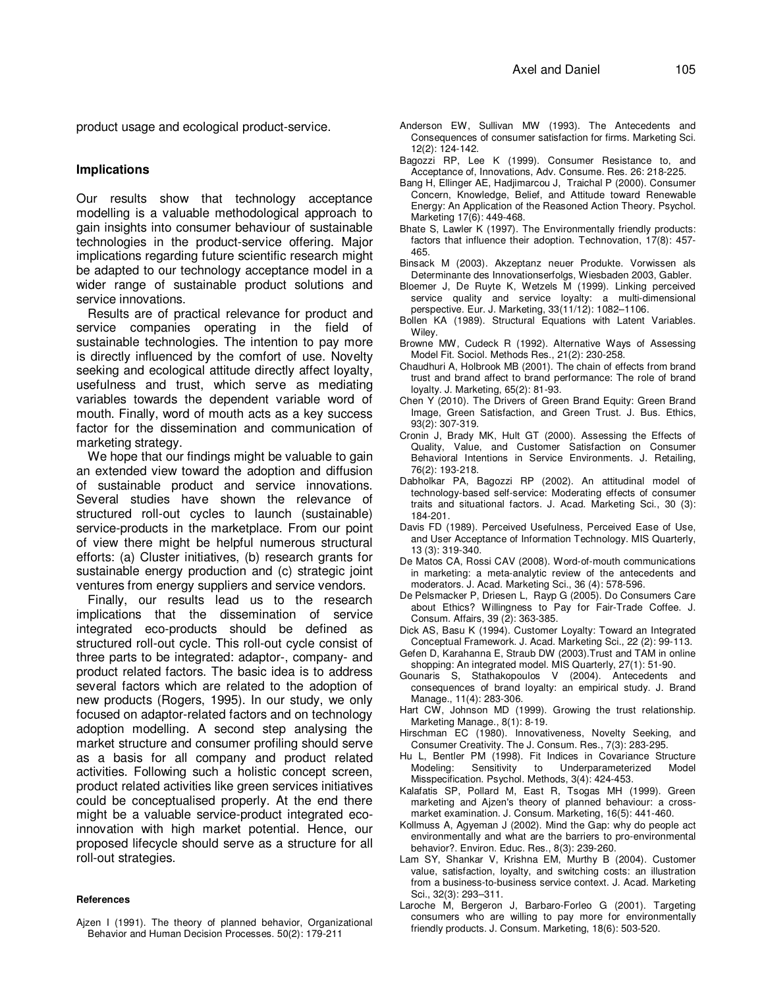product usage and ecological product-service.

#### **Implications**

Our results show that technology acceptance modelling is a valuable methodological approach to gain insights into consumer behaviour of sustainable technologies in the product-service offering. Major implications regarding future scientific research might be adapted to our technology acceptance model in a wider range of sustainable product solutions and service innovations.

Results are of practical relevance for product and service companies operating in the field of sustainable technologies. The intention to pay more is directly influenced by the comfort of use. Novelty seeking and ecological attitude directly affect loyalty, usefulness and trust, which serve as mediating variables towards the dependent variable word of mouth. Finally, word of mouth acts as a key success factor for the dissemination and communication of marketing strategy.

We hope that our findings might be valuable to gain an extended view toward the adoption and diffusion of sustainable product and service innovations. Several studies have shown the relevance of structured roll-out cycles to launch (sustainable) service-products in the marketplace. From our point of view there might be helpful numerous structural efforts: (a) Cluster initiatives, (b) research grants for sustainable energy production and (c) strategic joint ventures from energy suppliers and service vendors.

Finally, our results lead us to the research implications that the dissemination of service integrated eco-products should be defined as structured roll-out cycle. This roll-out cycle consist of three parts to be integrated: adaptor-, company- and product related factors. The basic idea is to address several factors which are related to the adoption of new products (Rogers, 1995). In our study, we only focused on adaptor-related factors and on technology adoption modelling. A second step analysing the market structure and consumer profiling should serve as a basis for all company and product related activities. Following such a holistic concept screen, product related activities like green services initiatives could be conceptualised properly. At the end there might be a valuable service-product integrated ecoinnovation with high market potential. Hence, our proposed lifecycle should serve as a structure for all roll-out strategies.

#### **References**

- Anderson EW, Sullivan MW (1993). The Antecedents and Consequences of consumer satisfaction for firms. Marketing Sci. 12(2): 124-142.
- Bagozzi RP, Lee K (1999). Consumer Resistance to, and Acceptance of, Innovations, Adv. Consume. Res. 26: 218-225.
- Bang H, Ellinger AE, Hadjimarcou J, Traichal P (2000). Consumer Concern, Knowledge, Belief, and Attitude toward Renewable Energy: An Application of the Reasoned Action Theory. Psychol. Marketing 17(6): 449-468.
- Bhate S, Lawler K (1997). The Environmentally friendly products: factors that influence their adoption. Technovation, 17(8): 457- 465.
- Binsack M (2003). Akzeptanz neuer Produkte. Vorwissen als Determinante des Innovationserfolgs, Wiesbaden 2003, Gabler.
- Bloemer J, De Ruyte K, Wetzels M (1999). Linking perceived service quality and service loyalty: a multi-dimensional perspective. Eur. J. Marketing, 33(11/12): 1082–1106.
- Bollen KA (1989). Structural Equations with Latent Variables. Wiley.
- Browne MW, Cudeck R (1992). Alternative Ways of Assessing Model Fit. Sociol. Methods Res., 21(2): 230-258.
- Chaudhuri A, Holbrook MB (2001). The chain of effects from brand trust and brand affect to brand performance: The role of brand loyalty. J. Marketing, 65(2): 81-93.
- Chen Y (2010). The Drivers of Green Brand Equity: Green Brand Image, Green Satisfaction, and Green Trust. J. Bus. Ethics, 93(2): 307-319.
- Cronin J, Brady MK, Hult GT (2000). Assessing the Effects of Quality, Value, and Customer Satisfaction on Consumer Behavioral Intentions in Service Environments. J. Retailing, 76(2): 193-218.
- Dabholkar PA, Bagozzi RP (2002). An attitudinal model of technology-based self-service: Moderating effects of consumer traits and situational factors. J. Acad. Marketing Sci., 30 (3): 184-201.
- Davis FD (1989). Perceived Usefulness, Perceived Ease of Use, and User Acceptance of Information Technology. MIS Quarterly, 13 (3): 319-340.
- De Matos CA, Rossi CAV (2008). Word-of-mouth communications in marketing: a meta-analytic review of the antecedents and moderators. J. Acad. Marketing Sci., 36 (4): 578-596.
- De Pelsmacker P, Driesen L, Rayp G (2005). Do Consumers Care about Ethics? Willingness to Pay for Fair-Trade Coffee. J. Consum. Affairs, 39 (2): 363-385.
- Dick AS, Basu K (1994). Customer Loyalty: Toward an Integrated Conceptual Framework. J. Acad. Marketing Sci., 22 (2): 99-113.
- Gefen D, Karahanna E, Straub DW (2003).Trust and TAM in online shopping: An integrated model. MIS Quarterly, 27(1): 51-90.
- Gounaris S, Stathakopoulos V (2004). Antecedents and consequences of brand loyalty: an empirical study. J. Brand Manage., 11(4): 283-306.
- Hart CW, Johnson MD (1999). Growing the trust relationship. Marketing Manage., 8(1): 8-19.
- Hirschman EC (1980). Innovativeness, Novelty Seeking, and Consumer Creativity. The J. Consum. Res., 7(3): 283-295.
- Hu L, Bentler PM (1998). Fit Indices in Covariance Structure Modeling: Sensitivity to Underparameterized Model Misspecification. Psychol. Methods, 3(4): 424-453.
- Kalafatis SP, Pollard M, East R, Tsogas MH (1999). Green marketing and Ajzen's theory of planned behaviour: a crossmarket examination. J. Consum. Marketing, 16(5): 441-460.
- Kollmuss A, Agyeman J (2002). Mind the Gap: why do people act environmentally and what are the barriers to pro-environmental behavior?. Environ. Educ. Res., 8(3): 239-260.
- Lam SY, Shankar V, Krishna EM, Murthy B (2004). Customer value, satisfaction, loyalty, and switching costs: an illustration from a business-to-business service context. J. Acad. Marketing Sci., 32(3): 293–311.
- Laroche M, Bergeron J, Barbaro-Forleo G (2001). Targeting consumers who are willing to pay more for environmentally friendly products. J. Consum. Marketing, 18(6): 503-520.